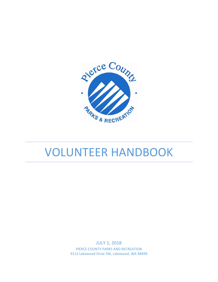

# VOLUNTEER HANDBOOK

JULY 1, 2018 PIERCE COUNTY PARKS AND RECREATION 9112 Lakewood Drive SW, Lakewood, WA 98499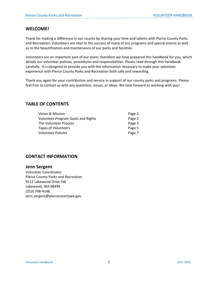# **WELCOME!**

Thank for making a difference in our county by sharing your time and talents with Pierce County Parks and Recreation. Volunteers are vital to the success of many of our programs and special events as well as to the beautification and maintenance of our parks and facilities.

Volunteers are an important part of our team; therefore we have prepared this handbook for you, which details our volunteer policies, procedures and responsibilities. Please read through this handbook carefully. It is designed to provide you with the information necessary to make your volunteer experience with Pierce County Parks and Recreation both safe and rewarding.

Thank you again for your contribution and service in support of our county parks and programs. Please feel free to contact us with any questions, issues, or ideas. We look forward to working with you!

# **TABLE OF CONTENTS**

| Page 2 |
|--------|
| Page 2 |
| Page 3 |
| Page 5 |
| Page 7 |
|        |

# **CONTACT INFORMATION**

# **Jenn Sergent**

Volunteer Coordinator Pierce County Parks and Recreation 9112 Lakewood Drive SW Lakewood, WA 98499 (253) 798‐4148 jenn.sergent@piercecountywa.gov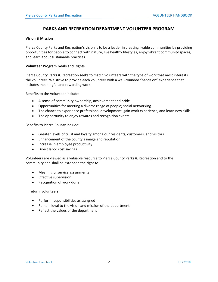# **PARKS AND RECREATION DEPARTMENT VOLUNTEER PROGRAM**

#### **Vision & Mission**

Pierce County Parks and Recreation's vision is to be a leader in creating livable communities by providing opportunities for people to connect with nature, live healthy lifestyles, enjoy vibrant community spaces, and learn about sustainable practices.

#### **Volunteer Program Goals and Rights**

Pierce County Parks & Recreation seeks to match volunteers with the type of work that most interests the volunteer. We strive to provide each volunteer with a well-rounded "hands on" experience that includes meaningful and rewarding work.

Benefits to the Volunteer include:

- A sense of community ownership, achievement and pride
- Opportunities for meeting a diverse range of people; social networking
- The chance to experience professional development, gain work experience, and learn new skills
- The opportunity to enjoy rewards and recognition events

Benefits to Pierce County include:

- Greater levels of trust and loyalty among our residents, customers, and visitors
- Enhancement of the county's image and reputation
- Increase in employee productivity
- Direct labor cost savings

Volunteers are viewed as a valuable resource to Pierce County Parks & Recreation and to the community and shall be extended the right to:

- Meaningful service assignments
- **•** Effective supervision
- Recognition of work done

In return, volunteers:

- Perform responsibilities as assigned
- Remain loyal to the vision and mission of the department
- Reflect the values of the department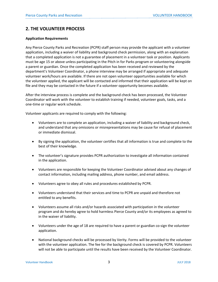# **2. THE VOLUNTEER PROCESS**

## **Application Requirements**

Any Pierce County Parks and Recreation (PCPR) staff person may provide the applicant with a volunteer application, including a waiver of liability and background check permission, along with an explanation that a completed application is not a guarantee of placement in a volunteer task or position. Applicants must be age 15 or above unless participating in the Pitch in for Parks program or volunteering alongside a parent or guardian. Once the completed application has been received and reviewed by the department's Volunteer Coordinator, a phone interview may be arranged if appropriate and adequate volunteer work/hours are available. If there are not open volunteer opportunities available for which the volunteer applied, the applicant will be contacted and informed that their application will be kept on file and they may be contacted in the future if a volunteer opportunity becomes available.

After the interview process is complete and the background check has been processed, the Volunteer Coordinator will work with the volunteer to establish training if needed, volunteer goals, tasks, and a one‐time or regular work schedule.

Volunteer applicants are required to comply with the following:

- Volunteers are to complete an application, including a waiver of liability and background check, and understand that any omissions or misrepresentations may be cause for refusal of placement or immediate dismissal.
- By signing the application, the volunteer certifies that all information is true and complete to the best of their knowledge.
- The volunteer's signature provides PCPR authorization to investigate all information contained in the application.
- Volunteers are responsible for keeping the Volunteer Coordinator advised about any changes of contact information, including mailing address, phone number, and email address.
- Volunteers agree to obey all rules and procedures established by PCPR.
- Volunteers understand that their services and time to PCPR are unpaid and therefore not entitled to any benefits.
- Volunteers assume all risks and/or hazards associated with participation in the volunteer program and do hereby agree to hold harmless Pierce County and/or its employees as agreed to in the waiver of liability.
- Volunteers under the age of 18 are required to have a parent or guardian co-sign the volunteer application.
- National background checks will be processed by Verity. Forms will be provided to the volunteer with the volunteer application. The fee for the background check is covered by PCPR. Volunteers will not be able to participate until the results have been received by the Volunteer Coordinator.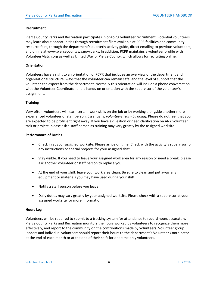#### **Recruitment**

Pierce County Parks and Recreation participates in ongoing volunteer recruitment. Potential volunteers may learn about opportunities through recruitment fliers available at PCPR facilities and community resource fairs, through the department's quarterly activity guide, direct emailing to previous volunteers, and online at www.piercecountywa.gov/parks. In addition, PCPR maintains a volunteer profile with VolunteerMatch.org as well as United Way of Pierce County, which allows for recruiting online.

## **Orientation**

Volunteers have a right to an orientation of PCPR that includes an overview of the department and organizational structure, ways that the volunteer can remain safe, and the level of support that the volunteer can expect from the department. Normally this orientation will include a phone conversation with the Volunteer Coordinator and a hands-on orientation with the supervisor of the volunteer's assignment.

## **Training**

Very often, volunteers will learn certain work skills on the job or by working alongside another more experienced volunteer or staff person. Essentially, *volunteers learn by doing*. Please do not feel that you are expected to be proficient right away. If you have a question or need clarification on ANY volunteer task or project, please ask a staff person as training may vary greatly by the assigned worksite.

## **Performance of Duties**

- Check in at your assigned worksite. Please arrive on time. Check with the activity's supervisor for any instructions or special projects for your assigned shift.
- Stay visible. If you need to leave your assigned work area for any reason or need a break, please ask another volunteer or staff person to replace you.
- At the end of your shift, leave your work area clean. Be sure to clean and put away any equipment or materials you may have used during your shift.
- Notify a staff person before you leave.
- Daily duties may vary greatly by your assigned worksite. Please check with a supervisor at your assigned worksite for more information.

#### **Hours Log**

Volunteers will be required to submit to a tracking system for attendance to record hours accurately. Pierce County Parks and Recreation monitors the hours worked by volunteers to recognize them more effectively, and report to the community on the contributions made by volunteers. Volunteer group leaders and individual volunteers should report their hours to the department's Volunteer Coordinator at the end of each month or at the end of their shift for one time only volunteers.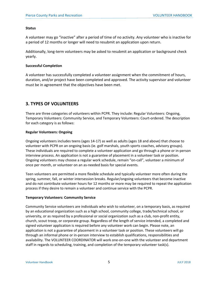## **Status**

A volunteer may go "inactive" after a period of time of no activity. Any volunteer who is inactive for a period of 12 months or longer will need to resubmit an application upon return.

Additionally, long‐term volunteers may be asked to resubmit an application or background check yearly.

## **Successful Completion**

A volunteer has successfully completed a volunteer assignment when the commitment of hours, duration, and/or project have been completed and approved. The activity supervisor and volunteer must be in agreement that the objectives have been met.

# **3. TYPES OF VOLUNTEERS**

There are three categories of volunteers within PCPR. They include: Regular Volunteers: Ongoing, Temporary Volunteers: Community Service, and Temporary Volunteers: Court‐ordered. The description for each category is as follows:

# **Regular Volunteers: Ongoing**

Ongoing volunteers includes teens (ages 14‐17) as well as adults (ages 18 and above) that choose to volunteer with PCPR on an ongoing basis (ie. golf marshals, youth sports coaches, advisory groups). These individuals are required to complete a volunteer application and go through a phone or in‐person interview process. An application is not a guarantee of placement in a volunteer task or position. Ongoing volunteers may choose a regular work schedule, remain "on‐call", volunteer a minimum of once per month, or volunteer on an as‐needed basis for special events.

Teen volunteers are permitted a more flexible schedule and typically volunteer more often during the spring, summer, fall, or winter intersession breaks. Regular/ongoing volunteers that become inactive and do not contribute volunteer hours for 12 months or more may be required to repeat the application process if they desire to remain a volunteer and continue service with the PCPR.

# **Temporary Volunteers: Community Service**

Community Service volunteers are individuals who wish to volunteer, on a temporary basis, as required by an educational organization such as a high school, community college, trade/technical school, or university, or as required by a professional or social organization such as a club, non‐profit entity, church, scout troop, or corporate group. Regardless of the length of service intended, a completed and signed volunteer application is required before any volunteer work can begin. Please note, an application is not a guarantee of placement in a volunteer task or position. These volunteers will go through an informal phone or in‐person interview to establish qualifications, responsibilities and availability. The VOLUNTEER COORDINATOR will work one‐on‐one with the volunteer and department staff in regards to scheduling, training, and completion of the temporary volunteer task(s).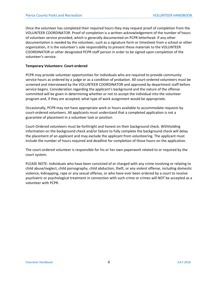Once the volunteer has completed their required hours they may request proof of completion from the VOLUNTEER COORDINATOR. Proof of completion is a written acknowledgement of the number of hours of volunteer service provided, which is generally documented on PCPR letterhead. If any other documentation is needed by the volunteer, such as a signature form or timesheet from a school or other organization, it is the volunteer's sole responsibility to present these materials to the VOLUNTEER COORDINATOR or other designated PCPR staff person in order to be signed upon completion of the volunteer's service.

## **Temporary Volunteers: Court‐ordered**

PCPR may provide volunteer opportunities for individuals who are required to provide community service hours as ordered by a judge or as a condition of probation. All court‐ordered volunteers must be screened and interviewed by the VOLUNTEER COORDINATOR and approved by department staff before service begins. Consideration regarding the applicant's background and the nature of the offense committed will be given in determining whether or not to accept the individual into the volunteer program and, if they are accepted, what type of work assignment would be appropriate.

Occasionally, PCPR may not have appropriate work or hours available to accommodate requests by court‐ordered volunteers. All applicants must understand that a completed application is not a guarantee of placement in a volunteer task or position.

Court‐Ordered volunteers must be forthright and honest on their background check. Withholding information on the background check and/or failure to fully complete the background check will delay the placement of an applicant and may exclude the applicant from volunteering. The applicant must include the number of hours required and deadline for completion of those hours on the application.

The court-ordered volunteer is responsible for his or her own paperwork related to or required by the court system.

PLEASE NOTE: Individuals who have been convicted of or charged with any crime involving or relating to child abuse/neglect, child pornography, child abduction, theft, or any violent offense, including domestic violence, kidnapping, rape or any sexual offense, or who have ever been ordered by a court to receive psychiatric or psychological treatment in connection with such crime or crimes will NOT be accepted as a volunteer with PCPR.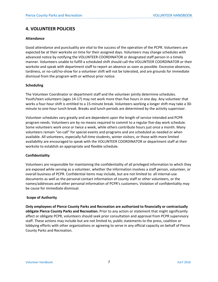# **4. VOLUNTEER POLICIES**

# **Attendance**

Good attendance and punctuality are vital to the success of the operation of the PCPR. Volunteers are expected be at their worksite on time for their assigned days. Volunteers may change schedules with advanced notice by notifying the VOLUNTEER COORDINATOR or designated staff person in a timely manner. Volunteers unable to fulfill a scheduled shift should call the VOLUNTEER COORDINATOR or their worksite and speak with department staff to report an absence as soon as possible. Excessive absences, tardiness, or no‐call/no‐show for a volunteer shift will not be tolerated, and are grounds for immediate dismissal from the program with or without prior notice.

# **Scheduling**

The Volunteer Coordinator or department staff and the volunteer jointly determine schedules. Youth/teen volunteers (ages 14‐17) may not work more than five hours in one day. Any volunteer that works a four-hour shift is entitled to a 15-minute break. Volunteers working a longer shift may take a 30minute to one‐hour lunch break. Breaks and lunch periods are determined by the activity supervisor.

Volunteer schedules vary greatly and are dependent upon the length of service intended and PCPR program needs. Volunteers are by no means required to commit to a regular five-day work schedule. Some volunteers work once or twice a week, while others contribute hours just once a month. Many volunteers remain "on-call" for special events and programs and are scheduled as needed or when available. All volunteers, especially full‐time students, winter visitors, or those with more limited availability are encouraged to speak with the VOLUNTEER COORDINATOR or department staff at their worksite to establish an appropriate and flexible schedule.

# **Confidentiality**

Volunteers are responsible for maintaining the confidentiality of all privileged information to which they are exposed while serving as a volunteer, whether the information involves a staff person, volunteer, or overall business of PCPR. Confidential items may include, but are not limited to: all internal‐use documents as well as the personal contact information of county staff or other volunteers, or the names/addresses and other personal information of PCPR's customers. Violation of confidentiality may be cause for immediate dismissal.

# **Scope of Authority**

**Only employees of Pierce County Parks and Recreation are authorized to financially or contractually obligate Pierce County Parks and Recreation.** Prior to any action or statement that might significantly affect or obligate PCPR, volunteers should seek prior consultation and approval from PCPR supervisory staff. These actions may include but are not limited to, public statements to the press, coalition or lobbying efforts with other organizations or agreeing to serve in any official capacity on behalf of Pierce County Parks and Recreation.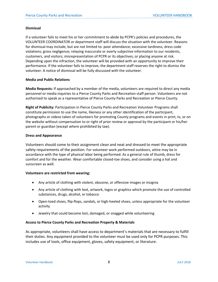#### **Dismissal**

If a volunteer fails to meet his or her commitment to abide by PCPR's policies and procedures, the VOLUNTEER COORDINATOR or department staff will discuss the situation with the volunteer. Reasons for dismissal may include, but are not limited to: poor attendance; excessive tardiness; dress code violations; gross negligence; relaying inaccurate or overly subjective information to our residents, customers, and visitors; misrepresentation of PCPR or its objectives; or placing anyone at risk. Depending upon the infraction, the volunteer will be provided with an opportunity to improve their performance. If the volunteer fails to improve, the department staff reserves the right to dismiss the volunteer. A notice of dismissal will be fully discussed with the volunteer.

## **Media and Public Relations**

**Media Requests:** If approached by a member of the media, volunteers are required to direct any media personnel or media inquiries to a Pierce County Parks and Recreation staff person. Volunteers are not authorized to speak as a representative of Pierce County Parks and Recreation or Pierce County.

**Right of Publicity:** Participation in Pierce County Parks and Recreation Volunteer Programs shall constitute permission to use the name, likeness or any other identification of the participant, photographs or videos taken of volunteers for promoting County programs and events in print, tv, or on the website without compensation to or right of prior review or approval by the participant or his/her parent or guardian (except where prohibited by law).

## **Dress and Appearance**

Volunteers should come to their assignment clean and neat and dressed to meet the appropriate safety requirements of the position. For volunteer work performed outdoors, attire may be in accordance with the type of physical labor being performed. As a general rule of thumb, dress for comfort and for the weather. Wear comfortable closed‐toe shoes, and consider using a hat and sunscreen as well.

# **Volunteers are restricted from wearing:**

- Any article of clothing with violent, obscene, or offensive images or insignia
- Any article of clothing with text, artwork, logos or graphics which promote the use of controlled substances, drugs, alcohol, or tobacco
- Open-toed shoes, flip-flops, sandals, or high-heeled shoes, unless appropriate for the volunteer activity
- Jewelry that could become lost, damaged, or snagged while volunteering

# **Access to Pierce County Parks and Recreation Property & Materials**

As appropriate, volunteers shall have access to department's materials that are necessary to fulfill their duties. Any equipment provided to the volunteer must be used only for PCPR purposes. This includes use of tools, office equipment, gloves, safety equipment, or literature.